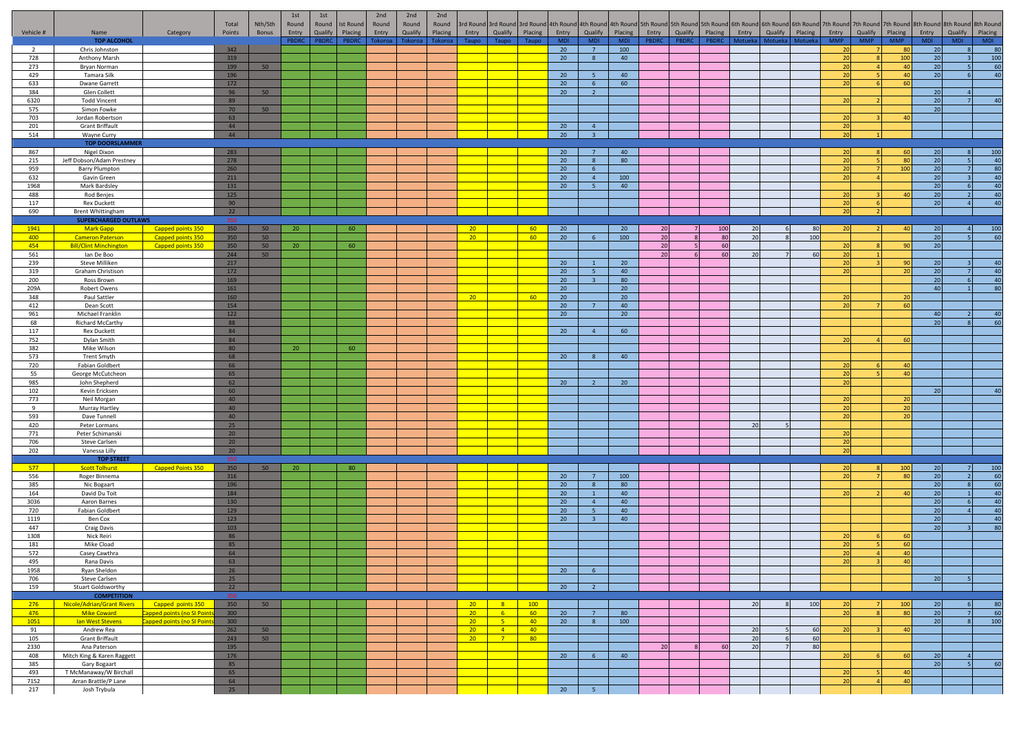|                |                                                          |                                                          | Total      | Nth/Sth  | 1st<br>Round | 1st<br>Round | <b>Ist Round</b> | 2nd<br>Round | 2nd<br>Round | 2nd<br>Round |                  | 3rd Round 3rd Round |                 |                  |                                   |                 |              |              |              |         |         |         |                      |            |                 | 3rd Round 4th Round 4th Round 4th Round Sth Round Sth Round 5th Round 6th Round 6th Round 6th Round 6th Round 7th Round 7th Round 7th Round 8th Round 8th Round 8th Round 8th Round |            |                |
|----------------|----------------------------------------------------------|----------------------------------------------------------|------------|----------|--------------|--------------|------------------|--------------|--------------|--------------|------------------|---------------------|-----------------|------------------|-----------------------------------|-----------------|--------------|--------------|--------------|---------|---------|---------|----------------------|------------|-----------------|-------------------------------------------------------------------------------------------------------------------------------------------------------------------------------------|------------|----------------|
| Vehicle #      | Name                                                     | Category                                                 | Points     | Bonus    | Entry        | Qualify      | Placing          | Entry        | Qualify      | Placing      | Entry            | Qualify             | Placing         | Entry            | Qualify                           | Placing         | Entry        | Qualify      | Placing      | Entry   | Qualify | Placing | Entry                | Qualify    | Placing         | Entry                                                                                                                                                                               | Qualify    | Placing        |
| $\overline{2}$ | <b>TOP ALCOHOL</b><br>Chris Johnston                     |                                                          | 342        |          | PBDRC        | PBDRC        | PBDRC            | Tokoroa      | Tokoroa      | Tokoroa      | Taupo            | Taupo               | Taupo           | <b>MDI</b><br>20 | MDI<br>7                          | MDI<br>100      | <b>PBDRC</b> | <b>PBDRC</b> | <b>PBDRC</b> | Motueka | Motueka | Motueka | <b>MMP</b><br>20     | <b>MMP</b> | <b>MMP</b>      | <b>MDI</b><br>80<br>20                                                                                                                                                              | <b>MDI</b> | MDI<br>80      |
| 728            | Anthony Marsh                                            |                                                          | 319        |          |              |              |                  |              |              |              |                  |                     |                 | 20               | 8                                 | 40              |              |              |              |         |         |         | 20                   |            | 100             | 20                                                                                                                                                                                  |            | 100            |
| 273            | Bryan Norman                                             |                                                          | 199        | 50       |              |              |                  |              |              |              |                  |                     |                 |                  |                                   |                 |              |              |              |         |         |         | 20                   |            | 40              | 20                                                                                                                                                                                  |            | 60             |
| 429<br>633     | Tamara Silk<br>Dwane Garrett                             |                                                          | 196<br>172 |          |              |              |                  |              |              |              |                  |                     |                 | 20<br>20         |                                   | 40<br>60        |              |              |              |         |         |         | 20                   |            | 40<br>60        | 20                                                                                                                                                                                  |            | $\overline{4}$ |
| 384            | Glen Collett                                             |                                                          | 96         | 50       |              |              |                  |              |              |              |                  |                     |                 | 20               | $6\overline{6}$<br>$\overline{2}$ |                 |              |              |              |         |         |         |                      |            |                 | 20                                                                                                                                                                                  |            |                |
| 6320           | <b>Todd Vincent</b>                                      |                                                          | 89         |          |              |              |                  |              |              |              |                  |                     |                 |                  |                                   |                 |              |              |              |         |         |         |                      |            |                 | 20                                                                                                                                                                                  |            | 40             |
| 575            | Simon Fowke                                              |                                                          | 70         | 50       |              |              |                  |              |              |              |                  |                     |                 |                  |                                   |                 |              |              |              |         |         |         |                      |            |                 | 20                                                                                                                                                                                  |            |                |
| 703<br>201     | Jordan Robertson<br><b>Grant Briffault</b>               |                                                          | 63<br>44   |          |              |              |                  |              |              |              |                  |                     |                 | 20               | $\overline{4}$                    |                 |              |              |              |         |         |         | 20<br>2 <sub>f</sub> |            | $\Delta$ C      |                                                                                                                                                                                     |            |                |
| 514            | Wayne Curry                                              |                                                          | 44         |          |              |              |                  |              |              |              |                  |                     |                 | 20               | 3 <sup>2</sup>                    |                 |              |              |              |         |         |         | 20                   |            |                 |                                                                                                                                                                                     |            |                |
|                | <b>TOP DOORSLAMMER</b>                                   |                                                          |            |          |              |              |                  |              |              |              |                  |                     |                 |                  |                                   |                 |              |              |              |         |         |         |                      |            |                 |                                                                                                                                                                                     |            |                |
| 867<br>215     | Nigel Dixon                                              |                                                          | 283<br>278 |          |              |              |                  |              |              |              |                  |                     |                 | 20<br>20         | $\overline{7}$<br>8               | 40<br>80        |              |              |              |         |         |         | 20                   |            | 80              | 20<br>20                                                                                                                                                                            |            | 100<br>40      |
| 959            | Jeff Dobson/Adam Prestney<br>Barry Plumpton              |                                                          | 260        |          |              |              |                  |              |              |              |                  |                     |                 | 20               | 6                                 |                 |              |              |              |         |         |         | 20                   |            | 100             | 20                                                                                                                                                                                  |            | 80             |
| 632            | Gavin Green                                              |                                                          | 211        |          |              |              |                  |              |              |              |                  |                     |                 | 20               | $\overline{4}$                    | 100             |              |              |              |         |         |         | 20                   |            |                 | 20                                                                                                                                                                                  |            | 40             |
| 1968           | Mark Bardsley                                            |                                                          | 131        |          |              |              |                  |              |              |              |                  |                     |                 | 20               | 5 <sub>1</sub>                    | 40              |              |              |              |         |         |         |                      |            |                 | 20                                                                                                                                                                                  |            | 40             |
| 488<br>117     | Rod Benjes<br><b>Rex Duckett</b>                         |                                                          | 125<br>90  |          |              |              |                  |              |              |              |                  |                     |                 |                  |                                   |                 |              |              |              |         |         |         | 20<br>20             |            | $\Delta \Gamma$ | 20<br>20                                                                                                                                                                            |            | 40<br>40       |
| 690            | <b>Brent Whittingham</b>                                 |                                                          | 22         |          |              |              |                  |              |              |              |                  |                     |                 |                  |                                   |                 |              |              |              |         |         |         |                      |            |                 |                                                                                                                                                                                     |            |                |
|                | <b>SUPERCHARGED OUTLAWS</b>                              |                                                          | 350        |          |              |              |                  |              |              |              |                  |                     |                 |                  |                                   |                 |              |              |              |         |         |         |                      |            |                 |                                                                                                                                                                                     |            |                |
| 1941           | <b>Mark Gapp</b>                                         | Capped points 350                                        | 350        | 50       | 20           |              | 60               |              |              |              | 20 <sup>2</sup>  |                     | 60              | 20               |                                   | 20              | 20           |              | 100          | 20      |         | 80      |                      |            | $\Delta$ 0      | 20                                                                                                                                                                                  |            | 100            |
| 400<br>454     | <b>Cameron Paterson</b><br><b>Bill/Clint Minchington</b> | Capped points 350<br>Capped points 350                   | 350<br>350 | 50<br>50 | 20           |              | 60               |              |              |              | 20 <sup>2</sup>  |                     | 60              | 20               | 6                                 | 100             | 20<br>20     |              | 80<br>60     | 20      |         | 100     | 20                   |            | 90              | 20<br>20                                                                                                                                                                            |            | 60             |
| 561            | lan De Boo                                               |                                                          | 244        | 50       |              |              |                  |              |              |              |                  |                     |                 |                  |                                   |                 | 20           |              | 60           | 20      |         | 60      | 20                   |            |                 |                                                                                                                                                                                     |            |                |
| 239            | Steve Milliken                                           |                                                          | 217        |          |              |              |                  |              |              |              |                  |                     |                 | 20               |                                   | 20 <sup>°</sup> |              |              |              |         |         |         | 20                   |            | 90              | 20                                                                                                                                                                                  |            | 40             |
| 319<br>200     | Graham Christison<br>Ross Brown                          |                                                          | 172<br>169 |          |              |              |                  |              |              |              |                  |                     |                 | 20<br>20         | -5.<br>$\overline{\mathbf{3}}$    | 40<br>80        |              |              |              |         |         |         | 20                   |            | 20              | 20<br>20                                                                                                                                                                            |            | 40<br>40       |
| 209A           | <b>Robert Owens</b>                                      |                                                          | 161        |          |              |              |                  |              |              |              |                  |                     |                 | 20               |                                   | 20 <sup>°</sup> |              |              |              |         |         |         |                      |            |                 | 40                                                                                                                                                                                  |            | -80            |
| 348            | Paul Sattler                                             |                                                          | 160        |          |              |              |                  |              |              |              | 20 <sup>°</sup>  |                     | 60              | 20               |                                   | 20 <sup>°</sup> |              |              |              |         |         |         |                      |            | 20              |                                                                                                                                                                                     |            |                |
| 412            | Dean Scott                                               |                                                          | 154        |          |              |              |                  |              |              |              |                  |                     |                 | 20               | $\overline{7}$                    | 40              |              |              |              |         |         |         | 20                   |            | 60              |                                                                                                                                                                                     |            |                |
| 961<br>68      | Michael Franklin<br>Richard McCarthy                     |                                                          | 122<br>88  |          |              |              |                  |              |              |              |                  |                     |                 | 20               |                                   | 20 <sup>°</sup> |              |              |              |         |         |         |                      |            |                 | 40<br>20                                                                                                                                                                            |            | 40<br>60       |
| 117            | <b>Rex Duckett</b>                                       |                                                          | 84         |          |              |              |                  |              |              |              |                  |                     |                 | 20               | $\overline{4}$                    | 60              |              |              |              |         |         |         |                      |            |                 |                                                                                                                                                                                     |            |                |
| 752            | Dylan Smith                                              |                                                          | 84         |          |              |              |                  |              |              |              |                  |                     |                 |                  |                                   |                 |              |              |              |         |         |         | 20                   |            | 60              |                                                                                                                                                                                     |            |                |
| 382<br>573     | Mike Wilson<br><b>Trent Smyth</b>                        |                                                          | 80<br>68   |          | 20           |              | 60               |              |              |              |                  |                     |                 | 20               | $\mathbf{R}$                      | 40              |              |              |              |         |         |         |                      |            |                 |                                                                                                                                                                                     |            |                |
| 720            | <b>Fabian Goldbert</b>                                   |                                                          | 66         |          |              |              |                  |              |              |              |                  |                     |                 |                  |                                   |                 |              |              |              |         |         |         |                      |            | Δſ              |                                                                                                                                                                                     |            |                |
| 55             | George McCutcheon                                        |                                                          | 65         |          |              |              |                  |              |              |              |                  |                     |                 |                  |                                   |                 |              |              |              |         |         |         | 20                   |            |                 | 40                                                                                                                                                                                  |            |                |
| 985            | John Shepherd                                            |                                                          | 62         |          |              |              |                  |              |              |              |                  |                     |                 | 20               | $\overline{2}$                    | 20              |              |              |              |         |         |         | 20                   |            |                 |                                                                                                                                                                                     |            |                |
| 102<br>773     | Kevin Ericksen<br>Neil Morgan                            |                                                          | 60<br>40   |          |              |              |                  |              |              |              |                  |                     |                 |                  |                                   |                 |              |              |              |         |         |         | 20                   |            | 20              |                                                                                                                                                                                     |            | 40             |
| 9              | Murray Hartley                                           |                                                          | 40         |          |              |              |                  |              |              |              |                  |                     |                 |                  |                                   |                 |              |              |              |         |         |         | 20                   |            | 20              |                                                                                                                                                                                     |            |                |
| 593            | Dave Tunnell                                             |                                                          | 40         |          |              |              |                  |              |              |              |                  |                     |                 |                  |                                   |                 |              |              |              |         |         |         | 20                   |            |                 | 20                                                                                                                                                                                  |            |                |
| 420<br>771     | Peter Lormans<br>Peter Schimanski                        |                                                          | 25<br>20   |          |              |              |                  |              |              |              |                  |                     |                 |                  |                                   |                 |              |              |              | 20      |         |         | 20                   |            |                 |                                                                                                                                                                                     |            |                |
| 706            | Steve Carlsen                                            |                                                          | 20         |          |              |              |                  |              |              |              |                  |                     |                 |                  |                                   |                 |              |              |              |         |         |         | 20                   |            |                 |                                                                                                                                                                                     |            |                |
| 202            | Vanessa Lilly                                            |                                                          | 20         |          |              |              |                  |              |              |              |                  |                     |                 |                  |                                   |                 |              |              |              |         |         |         |                      |            |                 |                                                                                                                                                                                     |            |                |
|                | <b>TOP STREET</b>                                        |                                                          | 350<br>350 |          |              |              | 80               |              |              |              |                  |                     |                 |                  |                                   |                 |              |              |              |         |         |         |                      |            |                 |                                                                                                                                                                                     |            |                |
| 577<br>556     | <b>Scott Tolhurst</b><br>Roger Binnema                   | <b>Capped Points 350</b>                                 | 316        | 50       | 20           |              |                  |              |              |              |                  |                     |                 | 20               | $\overline{7}$                    | 100             |              |              |              |         |         |         |                      |            | 100<br>80       | 20<br>20                                                                                                                                                                            |            | 100<br>60      |
| 385            | Nic Bogaart                                              |                                                          | 196        |          |              |              |                  |              |              |              |                  |                     |                 | 20               | 8                                 | 80              |              |              |              |         |         |         |                      |            |                 | 20                                                                                                                                                                                  |            | 60             |
| 164            | David Du Toit                                            |                                                          | 184        |          |              |              |                  |              |              |              |                  |                     |                 | 20               | $\overline{1}$                    | 40              |              |              |              |         |         |         | - 20                 |            | $\overline{a}$  | 20                                                                                                                                                                                  |            | 40             |
| 3036<br>720    | Aaron Barnes<br><b>Fabian Goldbert</b>                   |                                                          | 130<br>129 |          |              |              |                  |              |              |              |                  |                     |                 | 20<br>20         | $\overline{4}$<br>-5              | 40<br>40        |              |              |              |         |         |         |                      |            |                 | 20<br>20                                                                                                                                                                            |            | 40<br>40       |
| 1119           | Ben Cox                                                  |                                                          | 123        |          |              |              |                  |              |              |              |                  |                     |                 | 20               | $\overline{3}$                    | 40              |              |              |              |         |         |         |                      |            |                 | 20                                                                                                                                                                                  |            | 40             |
| 447            | <b>Craig Davis</b>                                       |                                                          | 103        |          |              |              |                  |              |              |              |                  |                     |                 |                  |                                   |                 |              |              |              |         |         |         |                      |            |                 | 20                                                                                                                                                                                  |            | 80             |
| 1308<br>181    | Nick Reiri<br>Mike Cload                                 |                                                          | 86<br>85   |          |              |              |                  |              |              |              |                  |                     |                 |                  |                                   |                 |              |              |              |         |         |         | 20                   |            | 60              | 60                                                                                                                                                                                  |            |                |
| 572            | Casey Cawthra                                            |                                                          | 64         |          |              |              |                  |              |              |              |                  |                     |                 |                  |                                   |                 |              |              |              |         |         |         |                      |            |                 | 40                                                                                                                                                                                  |            |                |
| 495            | Rana Davis                                               |                                                          | 63         |          |              |              |                  |              |              |              |                  |                     |                 |                  |                                   |                 |              |              |              |         |         |         | 20 L                 |            | 40              |                                                                                                                                                                                     |            |                |
| 1958<br>706    | Ryan Sheldon<br>Steve Carlsen                            |                                                          | 26<br>25   |          |              |              |                  |              |              |              |                  |                     |                 | 20               | 6                                 |                 |              |              |              |         |         |         |                      |            |                 | 20                                                                                                                                                                                  |            |                |
| 159            | Stuart Goldsworthy                                       |                                                          | 22         |          |              |              |                  |              |              |              |                  |                     |                 | 20               | 2 <sup>7</sup>                    |                 |              |              |              |         |         |         |                      |            |                 |                                                                                                                                                                                     |            |                |
|                | <b>COMPETITION</b>                                       |                                                          | 350        |          |              |              |                  |              |              |              |                  |                     |                 |                  |                                   |                 |              |              |              |         |         |         |                      |            |                 |                                                                                                                                                                                     |            |                |
| 276            | Nicole/Adrian/Grant Rivers                               | Capped points 350                                        | 350        | 50       |              |              |                  |              |              |              | $20 -$           | 8 <sup>2</sup>      | 100             |                  |                                   |                 |              |              |              | 20      |         | 100     | 20                   |            | 100             | 20                                                                                                                                                                                  |            | - 80           |
| 476<br>1051    | <b>Mike Coward</b><br>lan West Stevens                   | apped points (no SI Points<br>Capped points (no SI Point | 300<br>300 |          |              |              |                  |              |              |              | $20 -$<br>$20 -$ | $-6$<br>$-5$        | 60<br>$-40$     | 20<br>20         | $\overline{7}$<br>8 <sup>1</sup>  | 80<br>100       |              |              |              |         |         |         | 20                   |            | 80              | 20<br>20                                                                                                                                                                            |            | $-60$<br>100   |
| 91             | Andrew Rea                                               |                                                          | 262        | 50       |              |              |                  |              |              |              | $20-1$           | $\overline{4}$      | 40              |                  |                                   |                 |              |              |              | 20      |         | 60      | 20                   |            |                 | 40                                                                                                                                                                                  |            |                |
| 105            | <b>Grant Briffault</b>                                   |                                                          | 243        | 50       |              |              |                  |              |              |              | $20 -$           | $-7$                | 80 <sub>o</sub> |                  |                                   |                 |              |              |              | 20      |         | 60      |                      |            |                 |                                                                                                                                                                                     |            |                |
| 2330<br>408    | Ana Paterson<br>Mitch King & Karen Raggett               |                                                          | 195<br>176 |          |              |              |                  |              |              |              |                  |                     |                 | 20               | 6                                 | 40              | 20           |              | 60           | 20      |         | 80      | 20                   |            |                 | 60<br>20                                                                                                                                                                            |            |                |
| 385            | Gary Bogaart                                             |                                                          | 85         |          |              |              |                  |              |              |              |                  |                     |                 |                  |                                   |                 |              |              |              |         |         |         |                      |            |                 | 20                                                                                                                                                                                  |            | 60             |
| 493            | T McManaway/W Birchall                                   |                                                          | 65         |          |              |              |                  |              |              |              |                  |                     |                 |                  |                                   |                 |              |              |              |         |         |         | 20                   |            | 40              |                                                                                                                                                                                     |            |                |
| 7152           | Arran Brattle/P Lane                                     |                                                          | 64         |          |              |              |                  |              |              |              |                  |                     |                 |                  |                                   |                 |              |              |              |         |         |         | 20                   |            |                 | 40                                                                                                                                                                                  |            |                |
| 217            | Josh Trybula                                             |                                                          | 25         |          |              |              |                  |              |              |              |                  |                     |                 | 20               | 5 <sup>5</sup>                    |                 |              |              |              |         |         |         |                      |            |                 |                                                                                                                                                                                     |            |                |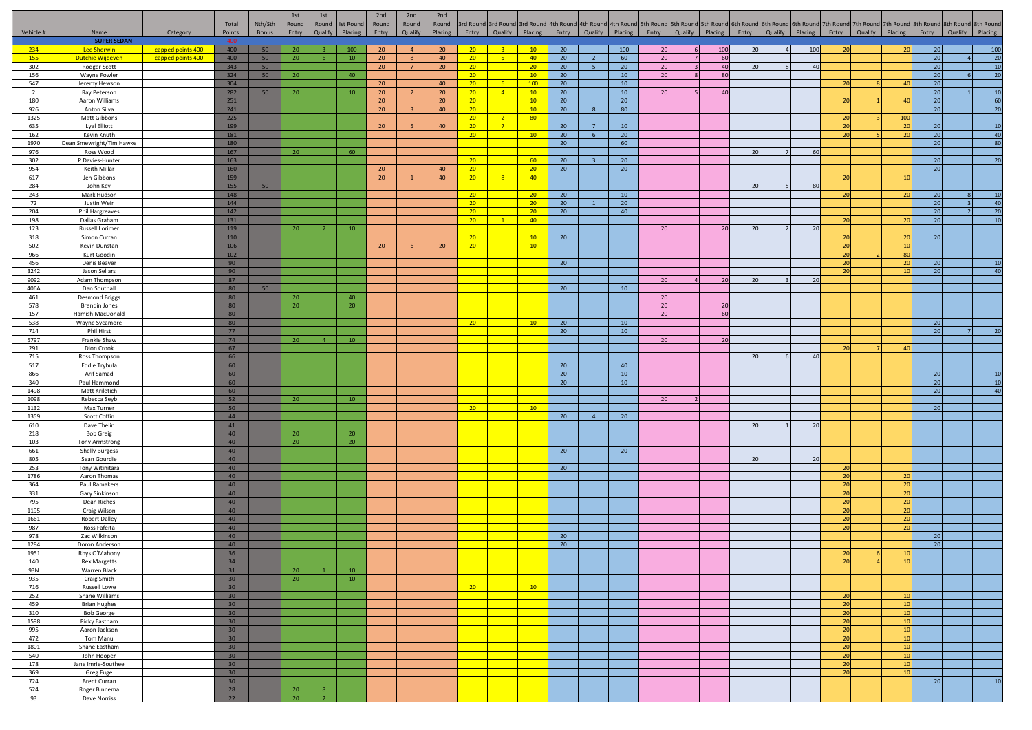|                       |                                           |                                        | Total                              | Nth/Sth  | 1st<br>Round    | 1st<br>Round       | <b>Ist Round</b> | 2nd<br>Round                       | 2nd<br>Round | 2nd<br>Round          |                                    |                        |                                    |          |                                             |                       |                       |    |           |    |                       |                                  |                       |          | 3rd Round 3rd Round 3rd Round 4th Round 4th Round 4th Round 5th Round 5th Round 5th Round 6th Round 6th Round 6th Round 7th Round 7th Round 7th Round 8th Round 8th Round 8th Round 8th Round 8th Round 8th Round |
|-----------------------|-------------------------------------------|----------------------------------------|------------------------------------|----------|-----------------|--------------------|------------------|------------------------------------|--------------|-----------------------|------------------------------------|------------------------|------------------------------------|----------|---------------------------------------------|-----------------------|-----------------------|----|-----------|----|-----------------------|----------------------------------|-----------------------|----------|-------------------------------------------------------------------------------------------------------------------------------------------------------------------------------------------------------------------|
| Vehicle #             | Name                                      | Category                               | Points                             | Bonus    | Entry           | Qualify            | Placing          | Entry                              | Qualify      | Placing               | Entry                              | Qualify                | Placing                            |          | Entry Qualify Placing Entry Qualify Placing |                       |                       |    |           |    | Entry Qualify Placing | Entry                            | Qualify Placing       | Entry    | Qualify Placing                                                                                                                                                                                                   |
|                       | <b>SUPER SEDAN</b>                        |                                        | 400                                |          |                 |                    |                  |                                    |              |                       |                                    |                        |                                    |          |                                             |                       |                       |    |           |    |                       |                                  |                       |          |                                                                                                                                                                                                                   |
| 234<br>155            | Lee Sherwin<br><b>Dutchie Wijdeven</b>    | capped points 400<br>capped points 400 | 400<br>400                         | 50<br>50 | 20<br>20        | $\mathbf{B}$<br>-6 | 100<br>10        | 20 <sup>°</sup><br>20 <sup>°</sup> | 4<br>8       | 20<br>40              | 20 <sup>2</sup><br>20              | 3 <sup>2</sup><br>$-5$ | 10<br>40                           | 20<br>20 | $\overline{2}$                              | 100<br>60             | 20 <sup>1</sup><br>20 | -6 | 100<br>60 | 20 | 100                   | 20                               | 20                    | 20<br>20 | 100<br>20                                                                                                                                                                                                         |
| 302                   | Rodger Scott                              |                                        | 343                                | 50       |                 |                    |                  | 20 <sup>°</sup>                    | $7^{\circ}$  | 20                    | 20 <sup>2</sup>                    |                        | 20                                 | 20       | 5 <sup>5</sup>                              | 20                    | $20\,$                |    | 40        | 20 | 40                    |                                  |                       | 20       | 10                                                                                                                                                                                                                |
| 156                   | Wayne Fowler                              |                                        | 324                                | 50       | 20 <sub>2</sub> |                    | 40               |                                    |              |                       | 20 <sub>2</sub>                    |                        | 10                                 | 20       |                                             | 10                    | 20                    | 8  | 80        |    |                       |                                  |                       | 20       | $\overline{20}$<br>-6                                                                                                                                                                                             |
| 547<br>$\overline{2}$ | Jeremy Hewson<br>Ray Peterson             |                                        | 304<br>282                         | 50       | 20              |                    | 10               | 20<br>20 <sup>°</sup>              |              | 40<br>20 <sup>°</sup> | 20<br>$20-1$                       | $-6$<br>$\sqrt{4}$     | 100<br>10 <sup>°</sup>             | 20<br>20 |                                             | 10<br>10              | 20                    |    | 40        |    |                       |                                  | $\Delta$ 0            | 20<br>20 | 10                                                                                                                                                                                                                |
| 180                   | Aaron Williams                            |                                        | 251                                |          |                 |                    |                  | 20 <sub>2</sub>                    |              | 20 <sup>°</sup>       | 20 <sub>2</sub>                    |                        | 10                                 | 20       |                                             | 20                    |                       |    |           |    |                       | $\overline{2}$                   | 40                    | 20       | 60                                                                                                                                                                                                                |
| 926                   | Anton Silva                               |                                        | 241                                |          |                 |                    |                  | 20                                 |              | 40                    | 20                                 |                        | 10                                 | 20       | -8                                          | 80                    |                       |    |           |    |                       |                                  |                       | 20       | 20                                                                                                                                                                                                                |
| 1325                  | Matt Gibbons                              |                                        | 225                                |          |                 |                    |                  |                                    |              |                       | 20 <sub>2</sub>                    | $-2$                   | 80                                 |          |                                             |                       |                       |    |           |    |                       |                                  | 100                   |          |                                                                                                                                                                                                                   |
| 635<br>162            | Lyal Elliott<br>Kevin Knuth               |                                        | 199<br>181                         |          |                 |                    |                  | 20 <sup>°</sup>                    | 5.           | 40                    | 20<br>20                           | 7 <sup>7</sup>         | 10                                 | 20<br>20 | 6                                           | 10<br>20              |                       |    |           |    |                       | 20<br>20                         | 20<br>20              | 20<br>20 | 10<br>40                                                                                                                                                                                                          |
| 1970                  | Dean Smewright/Tim Hawke                  |                                        | 180                                |          |                 |                    |                  |                                    |              |                       |                                    |                        |                                    | 20       |                                             | 60                    |                       |    |           |    |                       |                                  |                       | 20       | 80                                                                                                                                                                                                                |
| 976                   | Ross Wood                                 |                                        | 167                                |          | 20 <sup>°</sup> |                    | 60               |                                    |              |                       |                                    |                        |                                    |          |                                             |                       |                       |    |           | 20 | 60                    |                                  |                       |          |                                                                                                                                                                                                                   |
| 302<br>954            | P Davies-Hunter<br>Keith Millar           |                                        | 163<br>160                         |          |                 |                    |                  | 20 <sup>°</sup>                    |              | 40                    | 20<br>20 <sup>2</sup>              |                        | 60<br>20                           | 20<br>20 | $\overline{3}$                              | 20<br>20 <sup>°</sup> |                       |    |           |    |                       |                                  |                       | 20<br>20 | 20                                                                                                                                                                                                                |
| 617                   | Jen Gibbons                               |                                        | 159                                |          |                 |                    |                  | 20 <sub>2</sub>                    |              | 40                    | 20 <sup>2</sup>                    | 8 <sup>2</sup>         | 40                                 |          |                                             |                       |                       |    |           |    |                       |                                  | 10                    |          |                                                                                                                                                                                                                   |
| 284                   | John Key                                  |                                        | 155                                | 50       |                 |                    |                  |                                    |              |                       |                                    |                        |                                    |          |                                             |                       |                       |    |           | 20 | 80                    |                                  |                       |          |                                                                                                                                                                                                                   |
| 243                   | Mark Hudson                               |                                        | 148                                |          |                 |                    |                  |                                    |              |                       | 20                                 |                        | 20                                 | 20       |                                             | 10                    |                       |    |           |    |                       | 20                               | 20                    | 20       | 10                                                                                                                                                                                                                |
| 72<br>204             | Justin Weir<br>Phil Hargreaves            |                                        | 144<br>142                         |          |                 |                    |                  |                                    |              |                       | 20 <sub>2</sub><br>20 <sup>°</sup> |                        | 20 <sup>2</sup><br>20 <sup>°</sup> | 20<br>20 | $\mathbf{1}$                                | 20<br>40              |                       |    |           |    |                       |                                  |                       | 20<br>20 | 40<br>20                                                                                                                                                                                                          |
| 198                   | Dallas Graham                             |                                        | 131                                |          |                 |                    |                  |                                    |              |                       | 20 <sup>°</sup>                    | $\mathbf{1}$           | 40                                 |          |                                             |                       |                       |    |           |    |                       | $\overline{20}$                  | 20                    | 20       | 10                                                                                                                                                                                                                |
| 123                   | Russell Lorimer                           |                                        | 119                                |          | 20 <sup>°</sup> | 7 <sup>7</sup>     | 10               |                                    |              |                       |                                    |                        |                                    |          |                                             |                       | 20                    |    | 20        | 20 | 20                    |                                  |                       |          |                                                                                                                                                                                                                   |
| 318<br>502            | Simon Curran                              |                                        | 110<br>106                         |          |                 |                    |                  | 20 <sup>°</sup>                    | 6            | 20                    | 20<br>20 <sup>°</sup>              |                        | 10<br>10                           | 20       |                                             |                       |                       |    |           |    |                       | $\overline{2}$<br>$\overline{2}$ | 20<br>10              | 20       |                                                                                                                                                                                                                   |
| 966                   | Kevin Dunstan<br>Kurt Goodin              |                                        | 102                                |          |                 |                    |                  |                                    |              |                       |                                    |                        |                                    |          |                                             |                       |                       |    |           |    |                       | $\overline{2}$                   | 80                    |          |                                                                                                                                                                                                                   |
| 456                   | Denis Beaver                              |                                        | 90                                 |          |                 |                    |                  |                                    |              |                       |                                    |                        |                                    | 20       |                                             |                       |                       |    |           |    |                       | $\overline{2}$                   | 20                    | 20       | 10                                                                                                                                                                                                                |
| 3242                  | Jason Sellars                             |                                        | 90                                 |          |                 |                    |                  |                                    |              |                       |                                    |                        |                                    |          |                                             |                       |                       |    |           |    |                       |                                  |                       | 20       | $\overline{A}$                                                                                                                                                                                                    |
| 9092<br>406A          | Adam Thompson<br>Dan Southall             |                                        | 87<br>80                           | 50       |                 |                    |                  |                                    |              |                       |                                    |                        |                                    | 20       |                                             | 10                    | 20                    |    | 20        | 20 | 20                    |                                  |                       |          |                                                                                                                                                                                                                   |
| 461                   | <b>Desmond Briggs</b>                     |                                        | 80                                 |          | 20              |                    | 40               |                                    |              |                       |                                    |                        |                                    |          |                                             |                       | 20                    |    |           |    |                       |                                  |                       |          |                                                                                                                                                                                                                   |
| 578                   | <b>Brendin Jones</b>                      |                                        | 80                                 |          | 20              |                    | 20               |                                    |              |                       |                                    |                        |                                    |          |                                             |                       | 20                    |    | 20        |    |                       |                                  |                       |          |                                                                                                                                                                                                                   |
| 157                   | Hamish MacDonald                          |                                        | 80                                 |          |                 |                    |                  |                                    |              |                       |                                    |                        |                                    |          |                                             |                       | 20                    |    | 60        |    |                       |                                  |                       |          |                                                                                                                                                                                                                   |
| 538<br>714            | Wayne Sycamore<br>Phil Hirst              |                                        | 80<br>77                           |          |                 |                    |                  |                                    |              |                       | 20                                 |                        | 10                                 | 20<br>20 |                                             | 10<br>10 <sup>°</sup> |                       |    |           |    |                       |                                  |                       | 20<br>20 |                                                                                                                                                                                                                   |
| 5797                  | Frankie Shaw                              |                                        | 74                                 |          | 20 <sup>°</sup> | $\overline{4}$     | 10               |                                    |              |                       |                                    |                        |                                    |          |                                             |                       | 20                    |    | 20        |    |                       |                                  |                       |          |                                                                                                                                                                                                                   |
| 291                   | Dion Crook                                |                                        | 67                                 |          |                 |                    |                  |                                    |              |                       |                                    |                        |                                    |          |                                             |                       |                       |    |           |    |                       |                                  | $\Lambda$ C           |          |                                                                                                                                                                                                                   |
| 715<br>517            | Ross Thompson                             |                                        | 66                                 |          |                 |                    |                  |                                    |              |                       |                                    |                        |                                    |          |                                             |                       |                       |    |           | 20 | 40                    |                                  |                       |          |                                                                                                                                                                                                                   |
| 866                   | Eddie Trybula<br>Arif Samad               |                                        | 60<br>60                           |          |                 |                    |                  |                                    |              |                       |                                    |                        |                                    | 20<br>20 |                                             | 40<br>10              |                       |    |           |    |                       |                                  |                       | 20       | 10                                                                                                                                                                                                                |
| 340                   | Paul Hammond                              |                                        | 60                                 |          |                 |                    |                  |                                    |              |                       |                                    |                        |                                    | 20       |                                             | 10 <sup>°</sup>       |                       |    |           |    |                       |                                  |                       | 20       | 10                                                                                                                                                                                                                |
| 1498                  | Matt Kriletich                            |                                        | 60                                 |          |                 |                    |                  |                                    |              |                       |                                    |                        |                                    |          |                                             |                       |                       |    |           |    |                       |                                  |                       | 20       | 40                                                                                                                                                                                                                |
| 1098<br>1132          | Rebecca Seyb<br>Max Turner                |                                        | 52<br>50                           |          | 20              |                    | 10               |                                    |              |                       | 20 <sup>2</sup>                    |                        | 10                                 |          |                                             |                       | 20                    |    |           |    |                       |                                  |                       | 20       |                                                                                                                                                                                                                   |
| 1359                  | Scott Coffin                              |                                        | 44                                 |          |                 |                    |                  |                                    |              |                       |                                    |                        |                                    | 20       | $\overline{4}$                              | 20                    |                       |    |           |    |                       |                                  |                       |          |                                                                                                                                                                                                                   |
| 610                   | Dave Thelin                               |                                        | 41                                 |          |                 |                    |                  |                                    |              |                       |                                    |                        |                                    |          |                                             |                       |                       |    |           | 20 | 20                    |                                  |                       |          |                                                                                                                                                                                                                   |
| 218<br>103            | <b>Bob Greig</b><br><b>Tony Armstrong</b> |                                        | 40<br>40                           |          | 20<br>20        |                    | 20<br>20         |                                    |              |                       |                                    |                        |                                    |          |                                             |                       |                       |    |           |    |                       |                                  |                       |          |                                                                                                                                                                                                                   |
| 661                   | <b>Shelly Burgess</b>                     |                                        | 40                                 |          |                 |                    |                  |                                    |              |                       |                                    |                        |                                    | 20       |                                             | 20                    |                       |    |           |    |                       |                                  |                       |          |                                                                                                                                                                                                                   |
| 805                   | Sean Gourdie                              |                                        | 40                                 |          |                 |                    |                  |                                    |              |                       |                                    |                        |                                    |          |                                             |                       |                       |    |           | 20 | 20                    |                                  |                       |          |                                                                                                                                                                                                                   |
| 253                   | Tony Witinitara                           |                                        | 40                                 |          |                 |                    |                  |                                    |              |                       |                                    |                        |                                    | 20       |                                             |                       |                       |    |           |    |                       | $\overline{2}$                   |                       |          |                                                                                                                                                                                                                   |
| 1786<br>364           | Aaron Thomas<br>Paul Ramakers             |                                        | 40<br>40                           |          |                 |                    |                  |                                    |              |                       |                                    |                        |                                    |          |                                             |                       |                       |    |           |    |                       | 20<br>20                         | 20                    |          |                                                                                                                                                                                                                   |
| 331                   | Gary Sinkinson                            |                                        | 40                                 |          |                 |                    |                  |                                    |              |                       |                                    |                        |                                    |          |                                             |                       |                       |    |           |    |                       | $\overline{2}$                   | 20                    |          |                                                                                                                                                                                                                   |
| 795                   | Dean Riches                               |                                        | 40                                 |          |                 |                    |                  |                                    |              |                       |                                    |                        |                                    |          |                                             |                       |                       |    |           |    |                       | $\overline{2}$                   | 20                    |          |                                                                                                                                                                                                                   |
| 1195<br>1661          | Craig Wilson                              |                                        | 40<br>40                           |          |                 |                    |                  |                                    |              |                       |                                    |                        |                                    |          |                                             |                       |                       |    |           |    |                       | 20                               | 20                    |          |                                                                                                                                                                                                                   |
| 987                   | <b>Robert Dalley</b><br>Ross Fafeita      |                                        | 40                                 |          |                 |                    |                  |                                    |              |                       |                                    |                        |                                    |          |                                             |                       |                       |    |           |    |                       | 20                               | 20                    |          |                                                                                                                                                                                                                   |
| 978                   | Zac Wilkinson                             |                                        | 40                                 |          |                 |                    |                  |                                    |              |                       |                                    |                        |                                    | 20       |                                             |                       |                       |    |           |    |                       |                                  |                       | 20       |                                                                                                                                                                                                                   |
| 1284                  | Doron Anderson                            |                                        | 40                                 |          |                 |                    |                  |                                    |              |                       |                                    |                        |                                    | 20       |                                             |                       |                       |    |           |    |                       |                                  |                       | 20       |                                                                                                                                                                                                                   |
| 1951<br>140           | Rhys O'Mahony<br><b>Rex Margetts</b>      |                                        | 36<br>34                           |          |                 |                    |                  |                                    |              |                       |                                    |                        |                                    |          |                                             |                       |                       |    |           |    |                       |                                  |                       |          |                                                                                                                                                                                                                   |
| 93N                   | Warren Black                              |                                        | 31                                 |          | 20              | $\overline{1}$     | 10               |                                    |              |                       |                                    |                        |                                    |          |                                             |                       |                       |    |           |    |                       |                                  |                       |          |                                                                                                                                                                                                                   |
| 935                   | Craig Smith                               |                                        | 30 <sup>2</sup>                    |          | 20 <sup>°</sup> |                    | 10               |                                    |              |                       |                                    |                        |                                    |          |                                             |                       |                       |    |           |    |                       |                                  |                       |          |                                                                                                                                                                                                                   |
| 716<br>252            | Russell Lowe<br>Shane Williams            |                                        | 30<br>30 <sup>°</sup>              |          |                 |                    |                  |                                    |              |                       | 20 <sup>2</sup>                    |                        | 10                                 |          |                                             |                       |                       |    |           |    |                       |                                  | 10                    |          |                                                                                                                                                                                                                   |
| 459                   | <b>Brian Hughes</b>                       |                                        | 30 <sup>°</sup>                    |          |                 |                    |                  |                                    |              |                       |                                    |                        |                                    |          |                                             |                       |                       |    |           |    |                       | 20<br>20                         | 10                    |          |                                                                                                                                                                                                                   |
| 310                   | <b>Bob George</b>                         |                                        | 30                                 |          |                 |                    |                  |                                    |              |                       |                                    |                        |                                    |          |                                             |                       |                       |    |           |    |                       | 20                               | 10 <sup>1</sup>       |          |                                                                                                                                                                                                                   |
| 1598                  | Ricky Eastham                             |                                        | 30 <sup>°</sup>                    |          |                 |                    |                  |                                    |              |                       |                                    |                        |                                    |          |                                             |                       |                       |    |           |    |                       | 20                               | 10                    |          |                                                                                                                                                                                                                   |
| 995<br>472            | Aaron Jackson<br>Tom Manu                 |                                        | 30 <sup>2</sup><br>30              |          |                 |                    |                  |                                    |              |                       |                                    |                        |                                    |          |                                             |                       |                       |    |           |    |                       | 20<br>20                         | 10<br>10 <sup>1</sup> |          |                                                                                                                                                                                                                   |
| 1801                  | Shane Eastham                             |                                        | 30 <sup>°</sup>                    |          |                 |                    |                  |                                    |              |                       |                                    |                        |                                    |          |                                             |                       |                       |    |           |    |                       | 20                               | 10                    |          |                                                                                                                                                                                                                   |
| 540                   | John Hooper                               |                                        | 30 <sub>2</sub>                    |          |                 |                    |                  |                                    |              |                       |                                    |                        |                                    |          |                                             |                       |                       |    |           |    |                       | 20                               | 10                    |          |                                                                                                                                                                                                                   |
| 178                   | Jane Imrie-Southee                        |                                        | 30                                 |          |                 |                    |                  |                                    |              |                       |                                    |                        |                                    |          |                                             |                       |                       |    |           |    |                       | 20                               | 10                    |          |                                                                                                                                                                                                                   |
| 369<br>724            | Greg Fuge<br><b>Brent Curran</b>          |                                        | 30 <sup>°</sup><br>30 <sup>°</sup> |          |                 |                    |                  |                                    |              |                       |                                    |                        |                                    |          |                                             |                       |                       |    |           |    |                       | 20                               | 10                    | 20       | 10                                                                                                                                                                                                                |
| 524                   | Roger Binnema                             |                                        | 28                                 |          | 20              |                    |                  |                                    |              |                       |                                    |                        |                                    |          |                                             |                       |                       |    |           |    |                       |                                  |                       |          |                                                                                                                                                                                                                   |
| 93                    | Dave Norriss                              |                                        | 22                                 |          | 20              | 2 <sup>7</sup>     |                  |                                    |              |                       |                                    |                        |                                    |          |                                             |                       |                       |    |           |    |                       |                                  |                       |          |                                                                                                                                                                                                                   |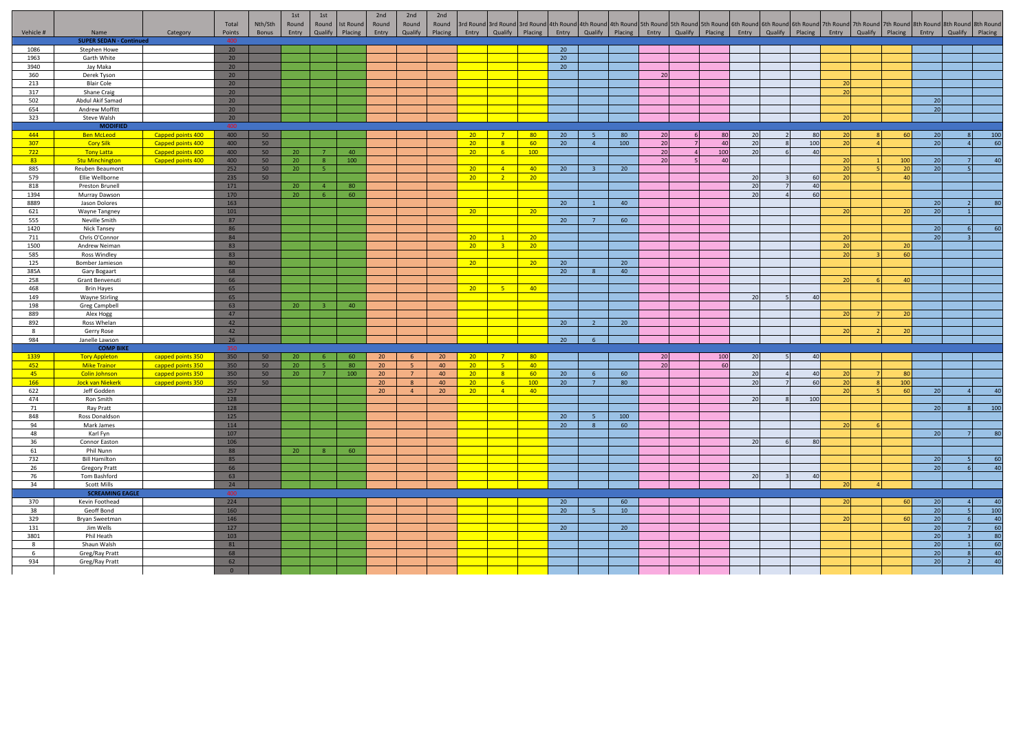|              |                                        |                   | Total                 | Nth/Sth | 1st<br>Round    | 1st<br>Round   | <b>Ist Round</b> | 2nd<br>Round    | 2nd<br>Round   | 2nd<br>Round |                 |                |                 |    |                |                 | 3rd Round   3rd Round   3rd Round   4th Round   4th Round   5th Round   5th Round   5th Round   5th Round   6th Round   6th Round   6th Round   7th Round   7th Round   7th Round   7th Round   3th Round   8th Round   8th Ro |     |       |                 |       |                       |                 |         |         |
|--------------|----------------------------------------|-------------------|-----------------------|---------|-----------------|----------------|------------------|-----------------|----------------|--------------|-----------------|----------------|-----------------|----|----------------|-----------------|--------------------------------------------------------------------------------------------------------------------------------------------------------------------------------------------------------------------------------|-----|-------|-----------------|-------|-----------------------|-----------------|---------|---------|
| Vehicle #    | Name<br><b>SUPER SEDAN - Continued</b> | Category          | Points<br>$\Delta$ 00 | Bonus   | Entry           | Qualify        | Placing          | Entry           | Qualify        | Placing      | Entry           | Qualify        | Placing Entry   |    |                |                 | Qualify Placing Entry Qualify Placing                                                                                                                                                                                          |     | Entry | Qualify Placing | Entry | Qualify Placing       | Entry           | Qualify | Placing |
| 1086         | Stephen Howe                           |                   | 20                    |         |                 |                |                  |                 |                |              |                 |                |                 | 20 |                |                 |                                                                                                                                                                                                                                |     |       |                 |       |                       |                 |         |         |
| 1963         | Garth White                            |                   | 20                    |         |                 |                |                  |                 |                |              |                 |                |                 | 20 |                |                 |                                                                                                                                                                                                                                |     |       |                 |       |                       |                 |         |         |
| 3940         | Jay Maka                               |                   | 20                    |         |                 |                |                  |                 |                |              |                 |                |                 | 20 |                |                 |                                                                                                                                                                                                                                |     |       |                 |       |                       |                 |         |         |
| 360          | Derek Tyson                            |                   | 20                    |         |                 |                |                  |                 |                |              |                 |                |                 |    |                |                 | 20                                                                                                                                                                                                                             |     |       |                 |       |                       |                 |         |         |
| 213          | <b>Blair Cole</b>                      |                   | 20 <sup>°</sup>       |         |                 |                |                  |                 |                |              |                 |                |                 |    |                |                 |                                                                                                                                                                                                                                |     |       |                 |       |                       |                 |         |         |
| 317          | Shane Craig                            |                   | 20                    |         |                 |                |                  |                 |                |              |                 |                |                 |    |                |                 |                                                                                                                                                                                                                                |     |       |                 |       |                       |                 |         |         |
| 502          | Abdul Akif Samad                       |                   | 20                    |         |                 |                |                  |                 |                |              |                 |                |                 |    |                |                 |                                                                                                                                                                                                                                |     |       |                 |       |                       | 20              |         |         |
| 654          | Andrew Moffitt                         |                   | 20                    |         |                 |                |                  |                 |                |              |                 |                |                 |    |                |                 |                                                                                                                                                                                                                                |     |       |                 |       |                       | $\overline{20}$ |         |         |
| 323          | Steve Walsh                            |                   | 20                    |         |                 |                |                  |                 |                |              |                 |                |                 |    |                |                 |                                                                                                                                                                                                                                |     |       |                 |       |                       |                 |         |         |
|              | <b>MODIFIED</b>                        |                   | 400                   |         |                 |                |                  |                 |                |              |                 |                |                 |    |                |                 |                                                                                                                                                                                                                                |     |       |                 |       |                       |                 |         |         |
| 444          | <b>Ben McLeod</b>                      | Capped points 400 | 400                   | 50      |                 |                |                  |                 |                |              | $20-1$          | 7 <sup>7</sup> | 80              | 20 | -5             | 80              | 20                                                                                                                                                                                                                             | 80  | 20    | 80              | 20    | 60                    | 20              |         | 100     |
| 307          | <b>Cory Silk</b>                       | Capped points 400 | 400                   | 50      |                 |                |                  |                 |                |              | 20 <sup>2</sup> | 8 <sup>1</sup> | 60              | 20 | $\overline{4}$ | 100             | 20                                                                                                                                                                                                                             | 40  | 20    | 100             | 20    |                       | $\overline{20}$ |         | 60      |
| 722          | <b>Tony Latta</b>                      | Capped points 400 | 400                   | 50      | 20              |                | 40               |                 |                |              | 20 <sup>2</sup> | 6 <sup>1</sup> | 100             |    |                |                 | 20                                                                                                                                                                                                                             | 100 | 20    | 40              |       |                       |                 |         |         |
| 83           | <b>Stu Minchington</b>                 | Capped points 400 | 400                   | 50      | 20              | 8 <sup>2</sup> | 100              |                 |                |              |                 |                |                 |    |                |                 | 20                                                                                                                                                                                                                             | 40  |       |                 | 20    | 100                   | 20              |         | 40      |
| 885          | Reuben Beaumont                        |                   | 252                   | 50      | 20              | -51            |                  |                 |                |              | $20-1$          | $\overline{4}$ | 40              | 20 | $\mathbf{R}$   | 20              |                                                                                                                                                                                                                                |     |       |                 | 20    | 20<br>$\overline{10}$ | 20              |         |         |
| 579          | Ellie Wellborne                        |                   | 235                   | 50      |                 |                |                  |                 |                |              | 20              | 2 <sup>2</sup> | 20              |    |                |                 |                                                                                                                                                                                                                                |     | 20    | 60              | 20    |                       |                 |         |         |
| 818          | Preston Brunell                        |                   | 171                   |         | 20 <sup>°</sup> | $\overline{4}$ | 80               |                 |                |              |                 |                |                 |    |                |                 |                                                                                                                                                                                                                                |     | 20    | 40              |       |                       |                 |         |         |
| 1394         | Murray Dawson                          |                   | 170                   |         | 20              | 6              | 60               |                 |                |              |                 |                |                 |    |                |                 |                                                                                                                                                                                                                                |     | 20    | 60              |       |                       |                 |         |         |
| 8889         | Jason Dolores                          |                   | 163                   |         |                 |                |                  |                 |                |              | $20-1$          |                | 20 <sup>2</sup> | 20 |                | 40              |                                                                                                                                                                                                                                |     |       |                 |       | $20^{\circ}$          | 20              |         |         |
| 621<br>555   | Wayne Tangney<br>Neville Smith         |                   | 101<br>87             |         |                 |                |                  |                 |                |              |                 |                |                 | 20 | $\overline{7}$ | 60              |                                                                                                                                                                                                                                |     |       |                 |       |                       | 20              |         |         |
| 1420         | Nick Tansey                            |                   | 86                    |         |                 |                |                  |                 |                |              |                 |                |                 |    |                |                 |                                                                                                                                                                                                                                |     |       |                 |       |                       | 20              |         | 60      |
| 711          | Chris O'Connor                         |                   | 84                    |         |                 |                |                  |                 |                |              | 20 <sup>2</sup> | 1              | 20              |    |                |                 |                                                                                                                                                                                                                                |     |       |                 | 20    |                       | 20              |         |         |
| 1500         | Andrew Neiman                          |                   | 83                    |         |                 |                |                  |                 |                |              | 20 <sup>2</sup> | 3 <sup>7</sup> | 20              |    |                |                 |                                                                                                                                                                                                                                |     |       |                 | 20    | $20^{\circ}$          |                 |         |         |
| 585          | <b>Ross Windley</b>                    |                   | 83                    |         |                 |                |                  |                 |                |              |                 |                |                 |    |                |                 |                                                                                                                                                                                                                                |     |       |                 | 20    | 60                    |                 |         |         |
| 125          | Bomber Jamieson                        |                   | 80                    |         |                 |                |                  |                 |                |              | 20 <sup>2</sup> |                | 20              | 20 |                | 20              |                                                                                                                                                                                                                                |     |       |                 |       |                       |                 |         |         |
| 385A         | Gary Bogaart                           |                   | 68                    |         |                 |                |                  |                 |                |              |                 |                |                 | 20 |                | 40              |                                                                                                                                                                                                                                |     |       |                 |       |                       |                 |         |         |
| 258          | Grant Benvenuti                        |                   | 66                    |         |                 |                |                  |                 |                |              |                 |                |                 |    |                |                 |                                                                                                                                                                                                                                |     |       |                 | 20    | AC                    |                 |         |         |
| 468          | <b>Brin Hayes</b>                      |                   | 65                    |         |                 |                |                  |                 |                |              | $20-1$          | $-5$           | 40              |    |                |                 |                                                                                                                                                                                                                                |     |       |                 |       |                       |                 |         |         |
| 149          | <b>Wayne Stirling</b>                  |                   | 65                    |         |                 |                |                  |                 |                |              |                 |                |                 |    |                |                 |                                                                                                                                                                                                                                |     | 20    | 40              |       |                       |                 |         |         |
| 198          | <b>Greg Campbell</b>                   |                   | 63                    |         | 20              | $\mathbf{R}$   | 40               |                 |                |              |                 |                |                 |    |                |                 |                                                                                                                                                                                                                                |     |       |                 |       |                       |                 |         |         |
| 889          | Alex Hogg                              |                   | 47                    |         |                 |                |                  |                 |                |              |                 |                |                 |    |                |                 |                                                                                                                                                                                                                                |     |       |                 |       |                       |                 |         |         |
| 892          | Ross Whelan                            |                   | 42                    |         |                 |                |                  |                 |                |              |                 |                |                 | 20 | $\overline{2}$ | 20 <sup>°</sup> |                                                                                                                                                                                                                                |     |       |                 |       |                       |                 |         |         |
| $\mathbf{g}$ | Gerry Rose                             |                   | 42                    |         |                 |                |                  |                 |                |              |                 |                |                 |    |                |                 |                                                                                                                                                                                                                                |     |       |                 |       | $20^{\circ}$          |                 |         |         |
| 984          | Janelle Lawson                         |                   | 26                    |         |                 |                |                  |                 |                |              |                 |                |                 | 20 | 6              |                 |                                                                                                                                                                                                                                |     |       |                 |       |                       |                 |         |         |
|              | <b>COMP BIKE</b>                       |                   | 350                   |         |                 |                |                  |                 |                |              |                 |                |                 |    |                |                 |                                                                                                                                                                                                                                |     |       |                 |       |                       |                 |         |         |
| 1339         | <b>Tory Appleton</b>                   | capped points 350 | 350                   | 50      | 20 <sub>2</sub> | -6             | 60               | 20 <sup>2</sup> | 6 <sup>6</sup> | 20           | 20              | $-7$           | 80              |    |                |                 | 20                                                                                                                                                                                                                             | 100 | 20    | 40              |       |                       |                 |         |         |
| 452          | <b>Mike Trainor</b>                    | capped points 350 | 350                   | 50      | 20              | $\mathbf{R}$   | 80               | 20              | -5             | 40           | 20 <sup>2</sup> | $-5$           | 40              |    |                |                 | 20                                                                                                                                                                                                                             | 60  |       |                 |       |                       |                 |         |         |
| 45           | <b>Colin Johnson</b>                   | capped points 350 | 350                   | 50      | 20              | $\overline{7}$ | 100              | 20              | $\overline{7}$ | 40           | $20 -$          | 8 <sup>7</sup> | 60              | 20 | 6              | 60              |                                                                                                                                                                                                                                |     | 20    | 40              |       | RT                    |                 |         |         |
| 166          | <b>Jock van Niekerk</b>                | capped points 350 | 350                   | 50      |                 |                |                  | 20              | 8              | 40           | $20-1$          | 6 <sup>1</sup> | 100             | 20 | $\overline{7}$ | 80              |                                                                                                                                                                                                                                |     | 20    | 60              | 20    | 100                   |                 |         |         |
| 622          | Jeff Godden                            |                   | 257                   |         |                 |                |                  | 20 <sup>°</sup> | $\overline{4}$ | 20           | 20 <sup>2</sup> | $-4$           | 40              |    |                |                 |                                                                                                                                                                                                                                |     |       |                 |       | 60                    | 20              |         | 40      |
| 474          | Ron Smith                              |                   | 128                   |         |                 |                |                  |                 |                |              |                 |                |                 |    |                |                 |                                                                                                                                                                                                                                |     | 20    | 100             |       |                       |                 |         |         |
| 71<br>848    | Ray Pratt<br>Ross Donaldson            |                   | 128<br>125            |         |                 |                |                  |                 |                |              |                 |                |                 | 20 | -5.            | 100             |                                                                                                                                                                                                                                |     |       |                 |       |                       | 20              |         | 100     |
| 94           | Mark James                             |                   | 114                   |         |                 |                |                  |                 |                |              |                 |                |                 | 20 | -8             | 60              |                                                                                                                                                                                                                                |     |       |                 |       |                       |                 |         |         |
| 48           | Karl Fyn                               |                   | 107                   |         |                 |                |                  |                 |                |              |                 |                |                 |    |                |                 |                                                                                                                                                                                                                                |     |       |                 |       |                       | 20              |         | 80      |
| 36           | Connor Easton                          |                   | 106                   |         |                 |                |                  |                 |                |              |                 |                |                 |    |                |                 |                                                                                                                                                                                                                                |     | 20    | 80              |       |                       |                 |         |         |
| 61           | Phil Nunn                              |                   | 88                    |         | 20              |                | 60               |                 |                |              |                 |                |                 |    |                |                 |                                                                                                                                                                                                                                |     |       |                 |       |                       |                 |         |         |
| 732          | <b>Bill Hamilton</b>                   |                   | 85                    |         |                 |                |                  |                 |                |              |                 |                |                 |    |                |                 |                                                                                                                                                                                                                                |     |       |                 |       |                       | 20              |         | - 60    |
| 26           | <b>Gregory Pratt</b>                   |                   | 66                    |         |                 |                |                  |                 |                |              |                 |                |                 |    |                |                 |                                                                                                                                                                                                                                |     |       |                 |       |                       | 20              |         | 40      |
| 76           | Tom Bashford                           |                   | 63                    |         |                 |                |                  |                 |                |              |                 |                |                 |    |                |                 |                                                                                                                                                                                                                                |     | 20    | 40              |       |                       |                 |         |         |
| 34           | <b>Scott Mills</b>                     |                   | 24                    |         |                 |                |                  |                 |                |              |                 |                |                 |    |                |                 |                                                                                                                                                                                                                                |     |       |                 |       |                       |                 |         |         |
|              | <b>SCREAMING EAGLE</b>                 |                   | 400                   |         |                 |                |                  |                 |                |              |                 |                |                 |    |                |                 |                                                                                                                                                                                                                                |     |       |                 |       |                       |                 |         |         |
| 370          | Kevin Foothead                         |                   | 224                   |         |                 |                |                  |                 |                |              |                 |                |                 | 20 |                | 60              |                                                                                                                                                                                                                                |     |       |                 |       | 60                    | 20              |         | 40      |
| 38           | Geoff Bond                             |                   | 160                   |         |                 |                |                  |                 |                |              |                 |                |                 | 20 | 5 <sup>2</sup> | 10              |                                                                                                                                                                                                                                |     |       |                 |       |                       | 20              |         | 100     |
| 329          | Bryan Sweetman                         |                   | 146                   |         |                 |                |                  |                 |                |              |                 |                |                 |    |                |                 |                                                                                                                                                                                                                                |     |       |                 | 20    | 60                    | 20              |         | 40      |
| 131          | Jim Wells                              |                   | 127                   |         |                 |                |                  |                 |                |              |                 |                |                 | 20 |                | 20              |                                                                                                                                                                                                                                |     |       |                 |       |                       | 20              |         | 60      |
| 3801         | Phil Heath                             |                   | 103                   |         |                 |                |                  |                 |                |              |                 |                |                 |    |                |                 |                                                                                                                                                                                                                                |     |       |                 |       |                       | $\overline{20}$ |         | 80      |
| 8            | Shaun Walsh                            |                   | 81                    |         |                 |                |                  |                 |                |              |                 |                |                 |    |                |                 |                                                                                                                                                                                                                                |     |       |                 |       |                       | 20              |         | 60      |
| - 6          | Greg/Ray Pratt                         |                   | 68                    |         |                 |                |                  |                 |                |              |                 |                |                 |    |                |                 |                                                                                                                                                                                                                                |     |       |                 |       |                       | $\overline{20}$ |         | 40      |
| 934          | Greg/Ray Pratt                         |                   | 62                    |         |                 |                |                  |                 |                |              |                 |                |                 |    |                |                 |                                                                                                                                                                                                                                |     |       |                 |       |                       | 20              |         | 40      |
|              |                                        |                   | $\overline{0}$        |         |                 |                |                  |                 |                |              |                 |                |                 |    |                |                 |                                                                                                                                                                                                                                |     |       |                 |       |                       |                 |         |         |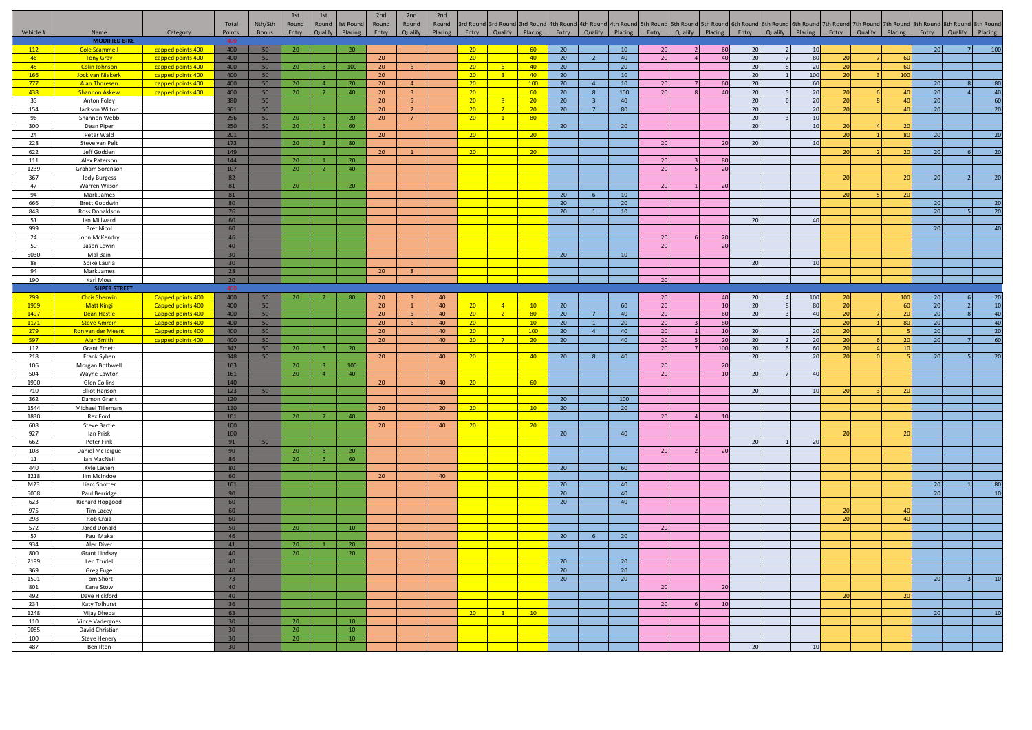|              |                                              |                                        | Total                 | Nth/Sth  | 1st<br>Round          | 1st<br>Round   | <b>Ist Round</b> | 2nd<br>Round                       | 2nd<br>Round               | 2nd<br>Round |                                    |                                  |                       |                 |                         |                                             |                 |                | 3rd Round 3rd Round 3rd Round 4th Round 4th Round 4th Round 5th Round 5th Round 5th Round 5th Round 6th Round 6th Round 6th Round 7th Round 7th Round 7th Round 7th Round 8th Round 8th Round 8th Round 8th Round 8th Round |                 |                 |                |          |                                             |          |                 |
|--------------|----------------------------------------------|----------------------------------------|-----------------------|----------|-----------------------|----------------|------------------|------------------------------------|----------------------------|--------------|------------------------------------|----------------------------------|-----------------------|-----------------|-------------------------|---------------------------------------------|-----------------|----------------|-----------------------------------------------------------------------------------------------------------------------------------------------------------------------------------------------------------------------------|-----------------|-----------------|----------------|----------|---------------------------------------------|----------|-----------------|
| Vehicle #    | Name                                         | Category                               | Points                | Bonus    | Entry                 | Qualify        | Placing          | Entry                              | Qualify                    | Placing      | Entry                              | Qualify Placing                  |                       |                 |                         | Entry Qualify Placing Entry Qualify Placing |                 |                |                                                                                                                                                                                                                             | Entry           | Qualify Placing |                |          | Entry Qualify Placing Entry Qualify Placing |          |                 |
| 112          | <b>MODIFIED BIKE</b><br><b>Cole Scammell</b> | capped points 400                      | 400                   | 50       | 20                    |                | 20 <sup>°</sup>  |                                    |                            |              | 20 <sup>2</sup>                    |                                  | 60                    | 20              |                         | 10                                          | 20              |                | 60                                                                                                                                                                                                                          | 20              | 10              |                |          | 20                                          |          |                 |
| 46           | <b>Tony Gray</b>                             | capped points 400                      | 400                   | 50       |                       |                |                  | 20 <sub>2</sub>                    |                            |              | 20 <sub>2</sub>                    |                                  | 40                    | 20              | $\overline{2}$          | 40                                          | 20              |                | 40                                                                                                                                                                                                                          | 20              | 80              |                | 60       |                                             |          |                 |
| 45           | <b>Colin Johnson</b>                         | capped points 400                      | 400                   | 50       | 20                    | -8             | 100              | 20 <sup>°</sup>                    | 6 <sup>1</sup>             |              | 20 <sup>2</sup>                    | $-6$                             | 40                    | 20              |                         | 20                                          |                 |                |                                                                                                                                                                                                                             | 20              | 20              |                | 60       |                                             |          |                 |
| 166          | <b>Jock van Niekerk</b>                      | capped points 400                      | 400                   | 50       |                       |                |                  | 20                                 |                            |              | 20                                 | 3 <sup>2</sup>                   | 40                    | 20              |                         | 10                                          |                 |                |                                                                                                                                                                                                                             | 20              | 100             |                | 100      |                                             |          |                 |
| 777          | <b>Alan Thoresen</b>                         | capped points 400                      | 400                   | 50       | 20                    | $\overline{a}$ | 20               | 20                                 | 4                          |              | 20 <sub>2</sub>                    |                                  | 100                   | 20              | $\overline{4}$          | 10                                          | 20              |                | 60                                                                                                                                                                                                                          | 20              | 60              |                |          | 20                                          |          | -80             |
| 438          | <b>Shannon Askew</b>                         | capped points 400                      | 400                   | 50       | 20                    | $\overline{7}$ | 40               | 20                                 | $\overline{3}$             |              | 20 <sup>2</sup>                    |                                  | 60                    | 20              |                         | 100                                         | 20              |                | 40                                                                                                                                                                                                                          | 20 <sup>1</sup> | 20              |                | 40       | 20                                          |          | 40              |
| 35           | Anton Foley                                  |                                        | 380                   | 50       |                       |                |                  | 20 <sup>°</sup>                    | 5 <sup>1</sup>             |              | 20                                 | 8 <sup>2</sup>                   | 20                    | 20              | $\overline{\mathbf{3}}$ | 40                                          |                 |                |                                                                                                                                                                                                                             | 20              | 20              |                | 40       | 20                                          |          | 60              |
| 154<br>96    | Jackson Wilton<br>Shannon Webb               |                                        | 361<br>256            | 50<br>50 | 20                    |                | 20               | 20<br>20                           | $2^{\circ}$<br>$7^{\circ}$ |              | 20 <sup>2</sup><br>20              | $\overline{2}$<br>$\mathbf{1}$   | 20<br>80              | 20              | $\overline{7}$          | 80                                          |                 |                |                                                                                                                                                                                                                             | 20<br>20        | 20<br>10        | $\overline{2}$ | 40       | 20                                          |          | 20              |
| 300          | Dean Piper                                   |                                        | 250                   | 50       | 20                    | -6             | 60               |                                    |                            |              |                                    |                                  |                       | 20              |                         | 20                                          |                 |                |                                                                                                                                                                                                                             | 20              | 10              |                |          |                                             |          |                 |
| 24           | Peter Wald                                   |                                        | 201                   |          |                       |                |                  | 20 <sup>°</sup>                    |                            |              | 20                                 |                                  | 20 <sup>2</sup>       |                 |                         |                                             |                 |                |                                                                                                                                                                                                                             |                 |                 | 20             | 80       | 20                                          |          |                 |
| 228          | Steve van Pelt                               |                                        | 173                   |          | 20                    |                | 80               |                                    |                            |              |                                    |                                  |                       |                 |                         |                                             | 20              |                | 20                                                                                                                                                                                                                          | 20              | 10              |                |          |                                             |          |                 |
| 622          | Jeff Godden                                  |                                        | 149                   |          |                       |                |                  | 20 <sup>°</sup>                    |                            |              | 20                                 |                                  | 20                    |                 |                         |                                             |                 |                |                                                                                                                                                                                                                             |                 |                 |                |          | 20                                          |          |                 |
| 111          | Alex Paterson                                |                                        | 144                   |          | 20                    |                | 20               |                                    |                            |              |                                    |                                  |                       |                 |                         |                                             | 20              |                | 80                                                                                                                                                                                                                          |                 |                 |                |          |                                             |          |                 |
| 1239         | Graham Sorenson                              |                                        | 107                   |          | 20                    |                | 40               |                                    |                            |              |                                    |                                  |                       |                 |                         |                                             | 20              |                | 20                                                                                                                                                                                                                          |                 |                 |                |          | 20                                          |          |                 |
| 367<br>47    | Jody Burgess<br>Warren Wilson                |                                        | 82<br>81              |          | 20                    |                | 20               |                                    |                            |              |                                    |                                  |                       |                 |                         |                                             | 20              |                | 20                                                                                                                                                                                                                          |                 |                 |                |          |                                             |          |                 |
| 94           | Mark James                                   |                                        | 81                    |          |                       |                |                  |                                    |                            |              |                                    |                                  |                       | 20              | -6                      | 10                                          |                 |                |                                                                                                                                                                                                                             |                 |                 |                |          |                                             |          |                 |
| 666          | <b>Brett Goodwin</b>                         |                                        | 80                    |          |                       |                |                  |                                    |                            |              |                                    |                                  |                       | 20              |                         | 20                                          |                 |                |                                                                                                                                                                                                                             |                 |                 |                |          | 20                                          |          | 20              |
| 848          | Ross Donaldson                               |                                        | 76                    |          |                       |                |                  |                                    |                            |              |                                    |                                  |                       | 20              |                         | 10                                          |                 |                |                                                                                                                                                                                                                             |                 |                 |                |          | 20                                          |          | $\overline{2}$  |
| 51           | Ian Millward                                 |                                        | 60                    |          |                       |                |                  |                                    |                            |              |                                    |                                  |                       |                 |                         |                                             |                 |                |                                                                                                                                                                                                                             | 20              | 40              |                |          |                                             |          |                 |
| 999          | <b>Bret Nicol</b>                            |                                        | 60                    |          |                       |                |                  |                                    |                            |              |                                    |                                  |                       |                 |                         |                                             |                 |                | 20                                                                                                                                                                                                                          |                 |                 |                |          | 20                                          |          | $\overline{A}$  |
| 24<br>50     | John McKendry<br>Jason Lewin                 |                                        | 46<br>40              |          |                       |                |                  |                                    |                            |              |                                    |                                  |                       |                 |                         |                                             | 20<br>20        |                | 20                                                                                                                                                                                                                          |                 |                 |                |          |                                             |          |                 |
| 5030         | Mal Bain                                     |                                        | 30 <sub>2</sub>       |          |                       |                |                  |                                    |                            |              |                                    |                                  |                       | 20              |                         | 10                                          |                 |                |                                                                                                                                                                                                                             |                 |                 |                |          |                                             |          |                 |
| 88           | Spike Lauria                                 |                                        | 30 <sub>2</sub>       |          |                       |                |                  |                                    |                            |              |                                    |                                  |                       |                 |                         |                                             |                 |                |                                                                                                                                                                                                                             | - 20            | 10              |                |          |                                             |          |                 |
| 94           | Mark James                                   |                                        | 28                    |          |                       |                |                  | 20                                 | 8                          |              |                                    |                                  |                       |                 |                         |                                             |                 |                |                                                                                                                                                                                                                             |                 |                 |                |          |                                             |          |                 |
| 190          | Karl Moss                                    |                                        | 20                    |          |                       |                |                  |                                    |                            |              |                                    |                                  |                       |                 |                         |                                             | 20              |                |                                                                                                                                                                                                                             |                 |                 |                |          |                                             |          |                 |
|              | <b>SUPER STREET</b>                          |                                        | $\Delta \Omega$       |          |                       |                |                  |                                    |                            |              |                                    |                                  |                       |                 |                         |                                             |                 |                |                                                                                                                                                                                                                             |                 |                 |                |          |                                             |          |                 |
| 299          | <b>Chris Sherwin</b>                         | Capped points 400                      | 400                   | 50       | 20 <sub>2</sub>       | $\overline{2}$ | - 80             | 20 <sup>2</sup>                    |                            | 40           |                                    |                                  |                       |                 |                         |                                             | 20              |                | 40                                                                                                                                                                                                                          | 20              | 100             | 20             | 100      | 20                                          |          | 10              |
| 1969<br>1497 | <b>Matt Kingi</b><br>Dean Hastie             | Capped points 400<br>Capped points 400 | 400<br>400            | 50<br>50 |                       |                |                  | 20 <sub>2</sub><br>20 <sub>2</sub> | $\mathbf{1}$<br>-5         | 40<br>40     | 20 <sub>2</sub><br>20 <sub>2</sub> | $\overline{4}$<br>$\overline{2}$ | 10<br>80 <sub>o</sub> | 20<br>20        | $\overline{7}$          | 60<br>40                                    | 20<br>20        |                | 10<br>- 60                                                                                                                                                                                                                  | 20<br>20        | 80<br>40        | 20             | 60<br>20 | 20<br>20                                    | $\Omega$ | 40              |
| 1171         | <b>Steve Amrein</b>                          | Capped points 400                      | 400                   | 50       |                       |                |                  | 20 <sup>2</sup>                    | 6                          | 40           | 20 <sub>2</sub>                    |                                  | 10                    | 20              | $\overline{1}$          | 20                                          | 20              |                | 80                                                                                                                                                                                                                          |                 |                 | $\overline{2}$ | 80       | 20                                          |          | 40              |
| 279          | Ron van der Meent                            | Capped points 400                      | 400                   | 50       |                       |                |                  | 20                                 |                            | 40           | 20 <sub>2</sub>                    |                                  | 100                   | 20              | $\Delta$                | 40                                          | 20              |                | 10                                                                                                                                                                                                                          | 2 <sub>f</sub>  | 20              |                |          | 20                                          |          | $\overline{20}$ |
| 597          | <b>Alan Smith</b>                            | capped points 400                      | 400                   | 50       |                       |                |                  | 20 <sub>2</sub>                    |                            | 40           | 20 <sub>2</sub>                    | 7 <sup>2</sup>                   | 20                    | 20              |                         | 40                                          | 20              |                | 20                                                                                                                                                                                                                          | 20 <sup>1</sup> | 20              | $\overline{2}$ |          | 20                                          |          | 60              |
| 112          | <b>Grant Emett</b>                           |                                        | 342                   | 50       | 20 <sub>2</sub>       |                | 20 <sub>1</sub>  |                                    |                            |              |                                    |                                  |                       |                 |                         |                                             | 20              |                | 100                                                                                                                                                                                                                         | 20              | 60              | $\overline{2}$ |          |                                             |          |                 |
| 218          | Frank Syben                                  |                                        | 348                   | 50       |                       |                |                  | 20 <sub>2</sub>                    |                            | 40           | 20 <sub>2</sub>                    |                                  | 40 <sub>1</sub>       | 20              | $\mathcal{R}$           | 40                                          |                 |                |                                                                                                                                                                                                                             | 20              | 20              |                |          | 20                                          |          |                 |
| 106<br>504   | Morgan Bothwell<br>Wayne Lawton              |                                        | 163<br>161            |          | 20 <sub>2</sub><br>20 | $\overline{4}$ | 100<br>40        |                                    |                            |              |                                    |                                  |                       |                 |                         |                                             | $20\,$<br>20    |                | 20<br>10                                                                                                                                                                                                                    | 20              | 40              |                |          |                                             |          |                 |
| 1990         | Glen Collins                                 |                                        | 140                   |          |                       |                |                  | 20 <sub>2</sub>                    |                            | 40           | 20 <sub>2</sub>                    |                                  | 60                    |                 |                         |                                             |                 |                |                                                                                                                                                                                                                             |                 |                 |                |          |                                             |          |                 |
| 710          | Elliot Hanson                                |                                        | 123                   | 50       |                       |                |                  |                                    |                            |              |                                    |                                  |                       |                 |                         |                                             |                 |                |                                                                                                                                                                                                                             |                 | 10              |                |          |                                             |          |                 |
| 362          | Damon Grant                                  |                                        | 120                   |          |                       |                |                  |                                    |                            |              |                                    |                                  |                       | 20              |                         | 100                                         |                 |                |                                                                                                                                                                                                                             |                 |                 |                |          |                                             |          |                 |
| 1544         | Michael Tillemans                            |                                        | 110                   |          |                       |                |                  | 20 <sub>2</sub>                    |                            | 20           | 20 <sub>2</sub>                    |                                  | 10                    | 20              |                         | 20                                          |                 |                |                                                                                                                                                                                                                             |                 |                 |                |          |                                             |          |                 |
| 1830         | Rex Ford                                     |                                        | 101                   |          | 20 <sup>°</sup>       |                | 40               |                                    |                            |              |                                    |                                  |                       |                 |                         |                                             | 20 <sup>1</sup> | $\overline{a}$ | 10                                                                                                                                                                                                                          |                 |                 |                |          |                                             |          |                 |
| 608<br>927   | <b>Steve Bartie</b><br>lan Prisk             |                                        | 100<br>100            |          |                       |                |                  | 20 <sub>2</sub>                    |                            | 40           | 20 <sub>2</sub>                    |                                  | 20                    |                 |                         | 40                                          |                 |                |                                                                                                                                                                                                                             |                 |                 |                |          |                                             |          |                 |
| 662          | Peter Fink                                   |                                        | 91                    | 50       |                       |                |                  |                                    |                            |              |                                    |                                  |                       | 20              |                         |                                             |                 |                |                                                                                                                                                                                                                             | 20              | 20              |                |          |                                             |          |                 |
| 108          | Daniel McTeigue                              |                                        | 90                    |          | 20                    |                | 20               |                                    |                            |              |                                    |                                  |                       |                 |                         |                                             | 20              |                |                                                                                                                                                                                                                             |                 |                 |                |          |                                             |          |                 |
| 11           | Ian MacNeil                                  |                                        | 86                    |          | 20                    | -6             | 60               |                                    |                            |              |                                    |                                  |                       |                 |                         |                                             |                 |                |                                                                                                                                                                                                                             |                 |                 |                |          |                                             |          |                 |
| 440          | Kyle Levien                                  |                                        | 80                    |          |                       |                |                  |                                    |                            |              |                                    |                                  |                       | 20              |                         | 60                                          |                 |                |                                                                                                                                                                                                                             |                 |                 |                |          |                                             |          |                 |
| 3218         | Jim McIndoe                                  |                                        | 60                    |          |                       |                |                  | 20 <sup>°</sup>                    |                            | 40           |                                    |                                  |                       |                 |                         |                                             |                 |                |                                                                                                                                                                                                                             |                 |                 |                |          |                                             |          |                 |
| M23<br>5008  | Liam Shotter<br>Paul Berridge                |                                        | 161<br>90             |          |                       |                |                  |                                    |                            |              |                                    |                                  |                       | 20<br>20        |                         | 40<br>40                                    |                 |                |                                                                                                                                                                                                                             |                 |                 |                |          | 20<br>20                                    |          |                 |
| 623          | Richard Hopgood                              |                                        | 60                    |          |                       |                |                  |                                    |                            |              |                                    |                                  |                       | 20              |                         | 40                                          |                 |                |                                                                                                                                                                                                                             |                 |                 |                |          |                                             |          |                 |
| 975          | Tim Lacey                                    |                                        | 60                    |          |                       |                |                  |                                    |                            |              |                                    |                                  |                       |                 |                         |                                             |                 |                |                                                                                                                                                                                                                             |                 |                 |                |          |                                             |          |                 |
| 298          | Rob Craig                                    |                                        | 60                    |          |                       |                |                  |                                    |                            |              |                                    |                                  |                       |                 |                         |                                             |                 |                |                                                                                                                                                                                                                             |                 |                 |                |          |                                             |          |                 |
| 572          | Jared Donald                                 |                                        | 50                    |          | 20                    |                | 10               |                                    |                            |              |                                    |                                  |                       |                 |                         |                                             | 20              |                |                                                                                                                                                                                                                             |                 |                 |                |          |                                             |          |                 |
| 57           | Paul Maka                                    |                                        | 46                    |          |                       |                |                  |                                    |                            |              |                                    |                                  |                       | 20              | 6                       | 20                                          |                 |                |                                                                                                                                                                                                                             |                 |                 |                |          |                                             |          |                 |
| 934<br>800   | Alec Diver<br><b>Grant Lindsay</b>           |                                        | 41<br>40              |          | 20<br>20 <sup>2</sup> |                | 20<br>20         |                                    |                            |              |                                    |                                  |                       |                 |                         |                                             |                 |                |                                                                                                                                                                                                                             |                 |                 |                |          |                                             |          |                 |
| 2199         | Len Trudel                                   |                                        | 40                    |          |                       |                |                  |                                    |                            |              |                                    |                                  |                       | 20              |                         | 20 <sup>°</sup>                             |                 |                |                                                                                                                                                                                                                             |                 |                 |                |          |                                             |          |                 |
| 369          | Greg Fuge                                    |                                        | 40                    |          |                       |                |                  |                                    |                            |              |                                    |                                  |                       | $\overline{20}$ |                         | 20                                          |                 |                |                                                                                                                                                                                                                             |                 |                 |                |          |                                             |          |                 |
| 1501         | Tom Short                                    |                                        | 73                    |          |                       |                |                  |                                    |                            |              |                                    |                                  |                       | 20              |                         | 20                                          |                 |                |                                                                                                                                                                                                                             |                 |                 |                |          | 20                                          |          |                 |
| 801          | Kane Stow                                    |                                        | 40                    |          |                       |                |                  |                                    |                            |              |                                    |                                  |                       |                 |                         |                                             | 20              |                |                                                                                                                                                                                                                             |                 |                 |                |          |                                             |          |                 |
| 492          | Dave Hickford                                |                                        | 40                    |          |                       |                |                  |                                    |                            |              |                                    |                                  |                       |                 |                         |                                             |                 |                |                                                                                                                                                                                                                             |                 |                 |                |          |                                             |          |                 |
| 234          | Katy Tolhurst                                |                                        | 36                    |          |                       |                |                  |                                    |                            |              |                                    |                                  |                       |                 |                         |                                             | 20              |                |                                                                                                                                                                                                                             |                 |                 |                |          |                                             |          |                 |
| 1248<br>110  | Vijay Dheda<br>Vince Vadergoes               |                                        | 63<br>30 <sup>°</sup> |          | 20                    |                | 10               |                                    |                            |              | 20 <sub>2</sub>                    |                                  | 10 <sup>°</sup>       |                 |                         |                                             |                 |                |                                                                                                                                                                                                                             |                 |                 |                |          | 20                                          |          |                 |
| 9085         | David Christian                              |                                        | 30 <sup>°</sup>       |          | 20                    |                | 10               |                                    |                            |              |                                    |                                  |                       |                 |                         |                                             |                 |                |                                                                                                                                                                                                                             |                 |                 |                |          |                                             |          |                 |
| 100          | <b>Steve Henery</b>                          |                                        | 30 <sub>2</sub>       |          | 20 <sub>2</sub>       |                | 10               |                                    |                            |              |                                    |                                  |                       |                 |                         |                                             |                 |                |                                                                                                                                                                                                                             |                 |                 |                |          |                                             |          |                 |
| 487          | Ben Ilton                                    |                                        | 30 <sub>o</sub>       |          |                       |                |                  |                                    |                            |              |                                    |                                  |                       |                 |                         |                                             |                 |                |                                                                                                                                                                                                                             |                 |                 |                |          |                                             |          |                 |